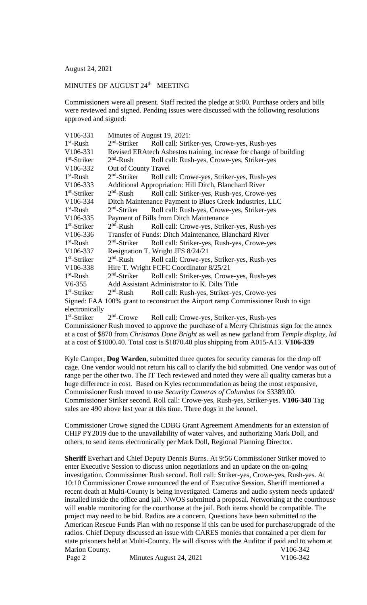August 24, 2021

## MINUTES OF AUGUST 24<sup>th</sup> MEETING

Commissioners were all present. Staff recited the pledge at 9:00. Purchase orders and bills were reviewed and signed. Pending issues were discussed with the following resolutions approved and signed:

| V106-331                                                                         | Minutes of August 19, 2021:                                        |                                               |  |
|----------------------------------------------------------------------------------|--------------------------------------------------------------------|-----------------------------------------------|--|
| $1st$ -Rush                                                                      | $2nd$ -Striker                                                     | Roll call: Striker-yes, Crowe-yes, Rush-yes   |  |
| V106-331                                                                         | Revised ERAtech Asbestos training, increase for change of building |                                               |  |
| $1st$ -Striker                                                                   | $2nd$ -Rush                                                        | Roll call: Rush-yes, Crowe-yes, Striker-yes   |  |
| V106-332                                                                         | Out of County Travel                                               |                                               |  |
| $1st$ -Rush                                                                      | $2nd$ -Striker                                                     | Roll call: Crowe-yes, Striker-yes, Rush-yes   |  |
| V106-333                                                                         | Additional Appropriation: Hill Ditch, Blanchard River              |                                               |  |
| $1st$ -Striker                                                                   | $2nd$ -Rush                                                        | Roll call: Striker-yes, Rush-yes, Crowe-yes   |  |
| V106-334                                                                         | Ditch Maintenance Payment to Blues Creek Industries, LLC           |                                               |  |
| $1st$ -Rush                                                                      | $2nd$ -Striker                                                     | Roll call: Rush-yes, Crowe-yes, Striker-yes   |  |
| V106-335                                                                         | Payment of Bills from Ditch Maintenance                            |                                               |  |
| 1 <sup>st</sup> -Striker                                                         | $2nd$ -Rush                                                        | Roll call: Crowe-yes, Striker-yes, Rush-yes   |  |
| V106-336                                                                         | Transfer of Funds: Ditch Maintenance, Blanchard River              |                                               |  |
| $1st$ -Rush                                                                      | $2nd$ -Striker                                                     | Roll call: Striker-yes, Rush-yes, Crowe-yes   |  |
| V106-337                                                                         |                                                                    | Resignation T. Wright JFS 8/24/21             |  |
| $1st$ -Striker                                                                   | $2nd$ -Rush                                                        | Roll call: Crowe-yes, Striker-yes, Rush-yes   |  |
| V106-338                                                                         | Hire T. Wright FCFC Coordinator 8/25/21                            |                                               |  |
| $1st$ -Rush                                                                      | $2nd$ -Striker                                                     | Roll call: Striker-yes, Crowe-yes, Rush-yes   |  |
| V6-355                                                                           |                                                                    | Add Assistant Administrator to K. Dilts Title |  |
| $1st$ -Striker                                                                   | $2nd$ -Rush                                                        | Roll call: Rush-yes, Striker-yes, Crowe-yes   |  |
| Signed: FAA 100% grant to reconstruct the Airport ramp Commissioner Rush to sign |                                                                    |                                               |  |
| electronically                                                                   |                                                                    |                                               |  |
| $1st$ -Striker                                                                   | $2nd$ -Crowe                                                       | Roll call: Crowe-yes, Striker-yes, Rush-yes   |  |

Commissioner Rush moved to approve the purchase of a Merry Christmas sign for the annex at a cost of \$870 from *Christmas Done Bright* as well as new garland from *Temple display, ltd* at a cost of \$1000.40. Total cost is \$1870.40 plus shipping from A015-A13. **V106-339**

Kyle Camper, **Dog Warden**, submitted three quotes for security cameras for the drop off cage. One vendor would not return his call to clarify the bid submitted. One vendor was out of range per the other two. The IT Tech reviewed and noted they were all quality cameras but a huge difference in cost. Based on Kyles recommendation as being the most responsive, Commissioner Rush moved to use *Security Cameras of Columbus* for \$3389.00. Commissioner Striker second. Roll call: Crowe-yes, Rush-yes, Striker-yes. **V106-340** Tag sales are 490 above last year at this time. Three dogs in the kennel.

Commissioner Crowe signed the CDBG Grant Agreement Amendments for an extension of CHIP PY2019 due to the unavailability of water valves, and authorizing Mark Doll, and others, to send items electronically per Mark Doll, Regional Planning Director.

**Sheriff** Everhart and Chief Deputy Dennis Burns. At 9:56 Commissioner Striker moved to enter Executive Session to discuss union negotiations and an update on the on-going investigation. Commissioner Rush second. Roll call: Striker-yes, Crowe-yes, Rush-yes. At 10:10 Commissioner Crowe announced the end of Executive Session. Sheriff mentioned a recent death at Multi-County is being investigated. Cameras and audio system needs updated/ installed inside the office and jail. NWOS submitted a proposal. Networking at the courthouse will enable monitoring for the courthouse at the jail. Both items should be compatible. The project may need to be bid. Radios are a concern. Questions have been submitted to the American Rescue Funds Plan with no response if this can be used for purchase/upgrade of the radios. Chief Deputy discussed an issue with CARES monies that contained a per diem for state prisoners held at Multi-County. He will discuss with the Auditor if paid and to whom at Marion County. V106-342 Page 2 Minutes August 24, 2021 V106-342